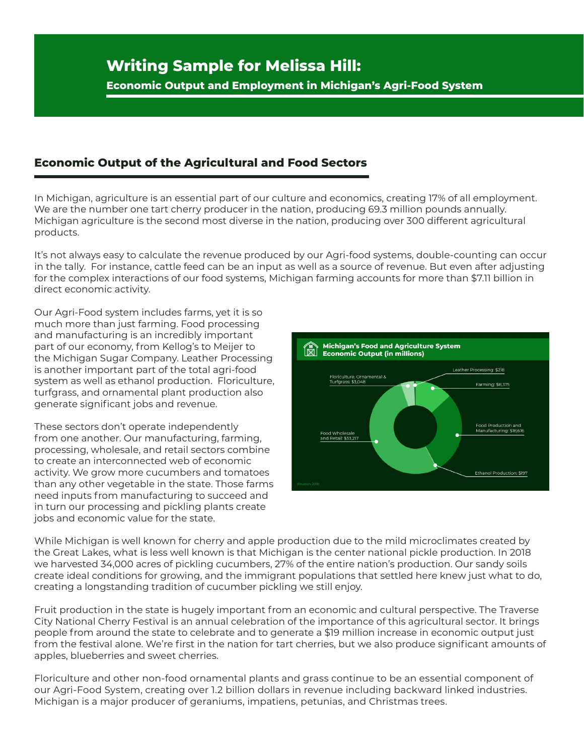**Economic Output and Employment in Michigan's Agri-Food System**

## **Economic Output of the Agricultural and Food Sectors**

In Michigan, agriculture is an essential part of our culture and economics, creating 17% of all employment. We are the number one tart cherry producer in the nation, producing 69.3 million pounds annually. Michigan agriculture is the second most diverse in the nation, producing over 300 different agricultural products.

It's not always easy to calculate the revenue produced by our Agri-food systems, double-counting can occur in the tally. For instance, cattle feed can be an input as well as a source of revenue. But even after adjusting for the complex interactions of our food systems, Michigan farming accounts for more than \$7.11 billion in direct economic activity.

Our Agri-Food system includes farms, yet it is so much more than just farming. Food processing and manufacturing is an incredibly important part of our economy, from Kellog's to Meijer to the Michigan Sugar Company. Leather Processing is another important part of the total agri-food system as well as ethanol production. Floriculture, turfgrass, and ornamental plant production also generate significant jobs and revenue.

These sectors don't operate independently from one another. Our manufacturing, farming, processing, wholesale, and retail sectors combine to create an interconnected web of economic activity. We grow more cucumbers and tomatoes than any other vegetable in the state. Those farms need inputs from manufacturing to succeed and in turn our processing and pickling plants create jobs and economic value for the state.



While Michigan is well known for cherry and apple production due to the mild microclimates created by the Great Lakes, what is less well known is that Michigan is the center national pickle production. In 2018 we harvested 34,000 acres of pickling cucumbers, 27% of the entire nation's production. Our sandy soils create ideal conditions for growing, and the immigrant populations that settled here knew just what to do, creating a longstanding tradition of cucumber pickling we still enjoy.

Fruit production in the state is hugely important from an economic and cultural perspective. The Traverse City National Cherry Festival is an annual celebration of the importance of this agricultural sector. It brings people from around the state to celebrate and to generate a \$19 million increase in economic output just from the festival alone. We're first in the nation for tart cherries, but we also produce significant amounts of apples, blueberries and sweet cherries.

Floriculture and other non-food ornamental plants and grass continue to be an essential component of our Agri-Food System, creating over 1.2 billion dollars in revenue including backward linked industries. Michigan is a major producer of geraniums, impatiens, petunias, and Christmas trees.